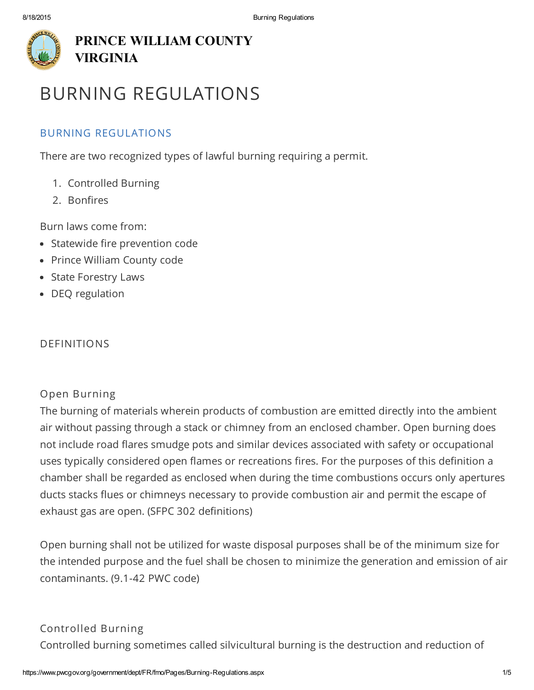

# [PRINCE](javascript:void(0)) [WILLIAM](javascript:void(0)) C[O](javascript:void(0))[UN](https://www.pwcgov.org/pages/default.aspx)[TY](javascript:void(0)) [VIRGINIA](javascript:void(0))

# [BURNING](javascript:void(0)) [REGULAT](javascript:void(0))[IO](https://www.pwcgov.org/resident-services)[NS](javascript:void(0))

# [BURNING](javascript:void(0)) REG[ULATIONS](javascript:void(0))

[There](javascript:void(0)) are two re[cognized](javascript:void(0)) types of la[wful](https://www.pwcgov.org/recreation-tourism) [burning](javascript:void(0)) [requiring](javascript:void(0)) a [permit.](javascript:void(0))

- 1. [Controlled](javascript:void(0)) [Burning](javascript:void(0))
- 2. [Bonfires](javascript:void(0))

Burn laws come from:

- [Sta](https://www.pwcgov.org/government/dept/FR/fmo/Pages/Burning-Regulations.aspx)tewide fire prevention code
- Prince William County code
- State Forestry Laws
- DEQ regulation

# DEFINITIONS

# Open Burning

The burning of materials wherein products of combustion are emitted directly into the ambient air without passing through a stack or chimney from an enclosed chamber. Open burning does not include road flares smudge pots and similar devices associated with safety or occupational uses typically considered open flames or recreations fires. For the purposes of this definition a chamber shall be regarded as enclosed when during the time combustions occurs only apertures ducts stacks flues or chimneys necessary to provide combustion air and permit the escape of exhaust gas are open. (SFPC 302 definitions)

Open burning shall not be utilized for waste disposal purposes shall be of the minimum size for the intended purpose and the fuel shall be chosen to minimize the generation and emission of air contaminants. (9.1-42 PWC code)

# Controlled Burning

Controlled burning sometimes called silvicultural burning is the destruction and reduction of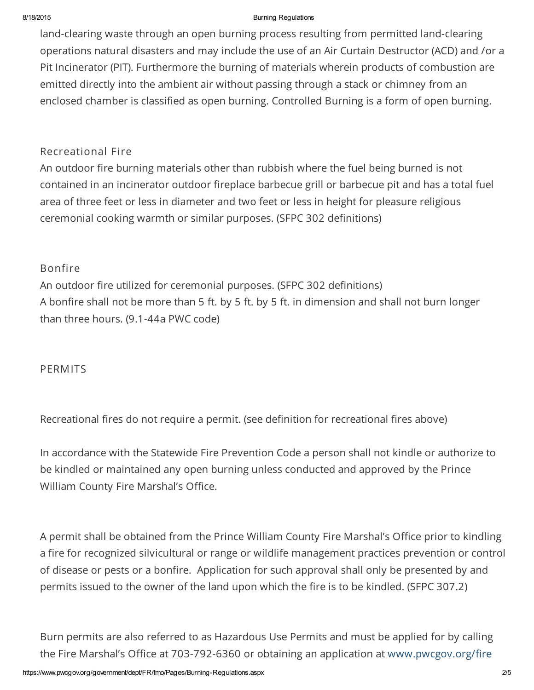#### 8/18/2015 **Burning Regulations Burning Regulations**

land-clearing waste through an open burning process resulting from permitted land-clearing operations natural disasters and may include the use of an Air Curtain Destructor (ACD) and /or a Pit Incinerator (PIT). Furthermore the burning of materials wherein products of combustion are emitted directly into the ambient air without passing through a stack or chimney from an enclosed chamber is classified as open burning. Controlled Burning is a form of open burning.

## Recreational Fire

An outdoor fire burning materials other than rubbish where the fuel being burned is not contained in an incinerator outdoor fireplace barbecue grill or barbecue pit and has a total fuel area of three feet or less in diameter and two feet or less in height for pleasure religious ceremonial cooking warmth or similar purposes. (SFPC 302 definitions)

### Bonfire

An outdoor fire utilized for ceremonial purposes. (SFPC 302 definitions) A bonfire shall not be more than 5 ft. by 5 ft. by 5 ft. in dimension and shall not burn longer than three hours. (9.1-44a PWC code)

### PERMITS

Recreational fires do not require a permit. (see definition for recreational fires above)

In accordance with the Statewide Fire Prevention Code a person shall not kindle or authorize to be kindled or maintained any open burning unless conducted and approved by the Prince William County Fire Marshal's Office.

A permit shall be obtained from the Prince William County Fire Marshal's Office prior to kindling a fire for recognized silvicultural or range or wildlife management practices prevention or control of disease or pests or a bonfire. Application for such approval shall only be presented by and permits issued to the owner of the land upon which the fire is to be kindled. (SFPC 307.2)

Burn permits are also referred to as Hazardous Use Permits and must be applied for by calling the Fire Marshal's Office at 703-792-6360 or obtaining an application at [www.pwcgov.org/fire](https://www.pwcgov.org/fire)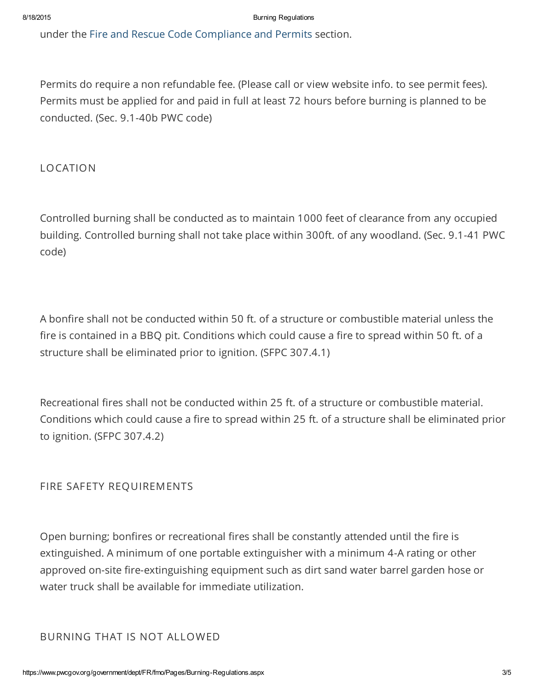under the Fire and Rescue Code [Compliance](https://www.pwcgov.org/government/dept/FR/fmo/Pages/default.aspx) and Permits section.

Permits do require a non refundable fee. (Please call or view website info. to see permit fees). Permits must be applied for and paid in full at least 72 hours before burning is planned to be conducted. (Sec. 9.1-40b PWC code)

LOCATION

Controlled burning shall be conducted as to maintain 1000 feet of clearance from any occupied building. Controlled burning shall not take place within 300ft. of any woodland. (Sec. 9.1-41 PWC code)

A bonfire shall not be conducted within 50 ft. of a structure or combustible material unless the fire is contained in a BBQ pit. Conditions which could cause a fire to spread within 50 ft. of a structure shall be eliminated prior to ignition. (SFPC 307.4.1)

Recreational fires shall not be conducted within 25 ft. of a structure or combustible material. Conditions which could cause a fire to spread within 25 ft. of a structure shall be eliminated prior to ignition. (SFPC 307.4.2)

FIRE SAFETY REQUIREMENTS

Open burning; bonfires or recreational fires shall be constantly attended until the fire is extinguished. A minimum of one portable extinguisher with a minimum 4-A rating or other approved on-site fire-extinguishing equipment such as dirt sand water barrel garden hose or water truck shall be available for immediate utilization.

BURNING THAT IS NOT ALLOWED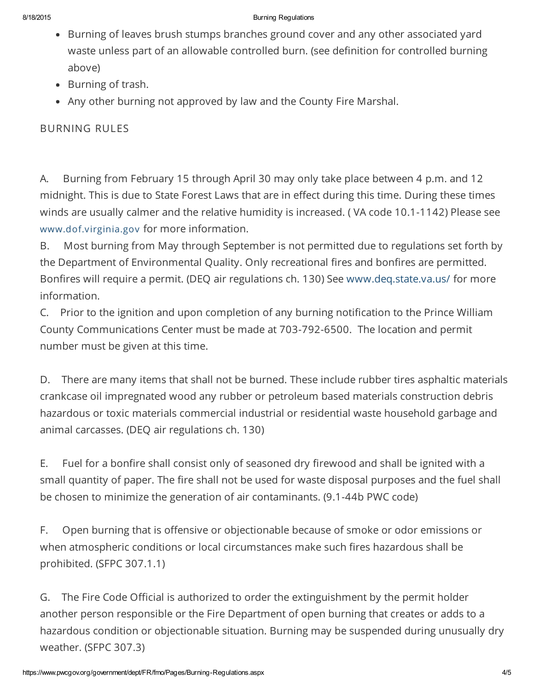#### 8/18/2015 **Burning Regulations Burning Regulations**

- Burning of leaves brush stumps branches ground cover and any other associated yard waste unless part of an allowable controlled burn. (see definition for controlled burning above)
- Burning of trash.
- Any other burning not approved by law and the County Fire Marshal.

BURNING RULES

A. Burning from February 15 through April 30 may only take place between 4 p.m. and 12 midnight. This is due to State Forest Laws that are in effect during this time. During these times winds are usually calmer and the relative humidity is increased. ( VA code 10.1-1142) Please see [www.dof.virginia.gov](http://www.dof.virginia.gov/) for more information.

B. Most burning from May through September is not permitted due to regulations set forth by the Department of Environmental Quality. Only recreational fires and bonfires are permitted. Bonfires will require a permit. (DEQ air regulations ch. 130) See [www.deq.state.va.us/](http://www.deq.state.va.us/) for more information.

C. Prior to the ignition and upon completion of any burning notification to the Prince William County Communications Center must be made at 703-792-6500. The location and permit number must be given at this time.

D. There are many items that shall not be burned. These include rubber tires asphaltic materials crankcase oil impregnated wood any rubber or petroleum based materials construction debris hazardous or toxic materials commercial industrial or residential waste household garbage and animal carcasses. (DEQ air regulations ch. 130)

E. Fuel for a bonfire shall consist only of seasoned dry firewood and shall be ignited with a small quantity of paper. The fire shall not be used for waste disposal purposes and the fuel shall be chosen to minimize the generation of air contaminants. (9.1-44b PWC code)

F. Open burning that is offensive or objectionable because of smoke or odor emissions or when atmospheric conditions or local circumstances make such fires hazardous shall be prohibited. (SFPC 307.1.1)

G. The Fire Code Official is authorized to order the extinguishment by the permit holder another person responsible or the Fire Department of open burning that creates or adds to a hazardous condition or objectionable situation. Burning may be suspended during unusually dry weather. (SFPC 307.3)